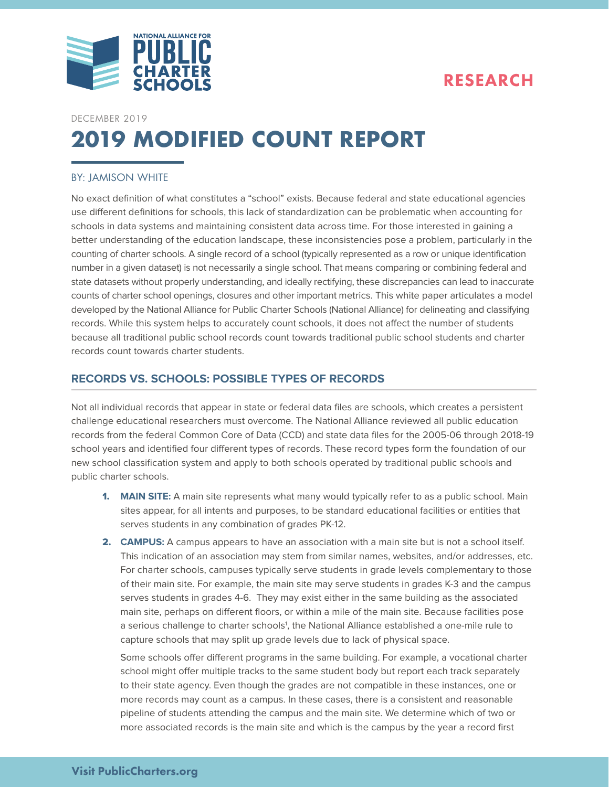

## RESEARCH

#### DECEMBER 2019

# **2019 MODIFIED COUNT REPORT**

#### BY: JAMISON WHITE

No exact definition of what constitutes a "school" exists. Because federal and state educational agencies use different definitions for schools, this lack of standardization can be problematic when accounting for schools in data systems and maintaining consistent data across time. For those interested in gaining a better understanding of the education landscape, these inconsistencies pose a problem, particularly in the counting of charter schools. A single record of a school (typically represented as a row or unique identification number in a given dataset) is not necessarily a single school. That means comparing or combining federal and state datasets without properly understanding, and ideally rectifying, these discrepancies can lead to inaccurate counts of charter school openings, closures and other important metrics. This white paper articulates a model developed by the National Alliance for Public Charter Schools (National Alliance) for delineating and classifying records. While this system helps to accurately count schools, it does not affect the number of students because all traditional public school records count towards traditional public school students and charter records count towards charter students.

### **RECORDS VS. SCHOOLS: POSSIBLE TYPES OF RECORDS**

Not all individual records that appear in state or federal data files are schools, which creates a persistent challenge educational researchers must overcome. The National Alliance reviewed all public education records from the federal Common Core of Data (CCD) and state data files for the 2005-06 through 2018-19 school years and identified four different types of records. These record types form the foundation of our new school classification system and apply to both schools operated by traditional public schools and public charter schools.

- 1. **MAIN SITE:** A main site represents what many would typically refer to as a public school. Main sites appear, for all intents and purposes, to be standard educational facilities or entities that serves students in any combination of grades PK-12.
- 2. **CAMPUS:** A campus appears to have an association with a main site but is not a school itself. This indication of an association may stem from similar names, websites, and/or addresses, etc. For charter schools, campuses typically serve students in grade levels complementary to those of their main site. For example, the main site may serve students in grades K-3 and the campus serves students in grades 4-6. They may exist either in the same building as the associated main site, perhaps on different floors, or within a mile of the main site. Because facilities pose a serious challenge to charter schools<sup>1</sup>, the National Alliance established a one-mile rule to capture schools that may split up grade levels due to lack of physical space.

Some schools offer different programs in the same building. For example, a vocational charter school might offer multiple tracks to the same student body but report each track separately to their state agency. Even though the grades are not compatible in these instances, one or more records may count as a campus. In these cases, there is a consistent and reasonable pipeline of students attending the campus and the main site. We determine which of two or more associated records is the main site and which is the campus by the year a record first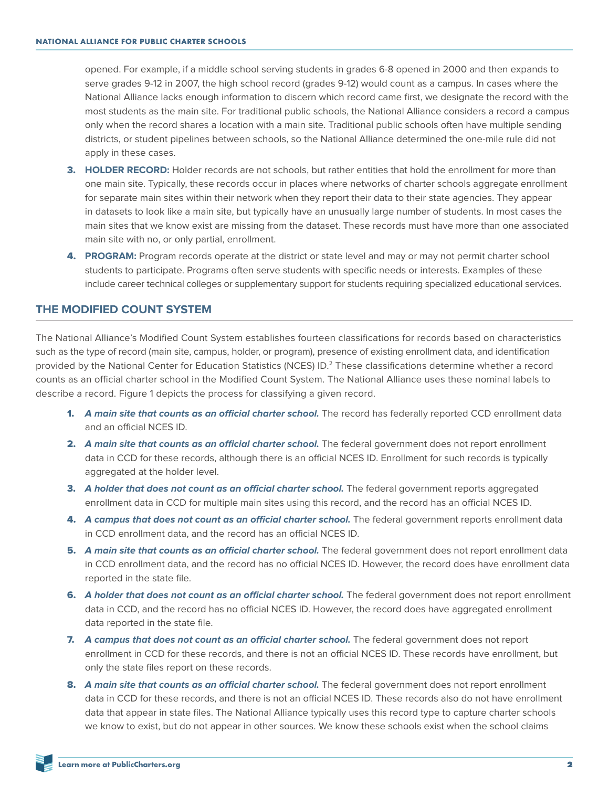opened. For example, if a middle school serving students in grades 6-8 opened in 2000 and then expands to serve grades 9-12 in 2007, the high school record (grades 9-12) would count as a campus. In cases where the National Alliance lacks enough information to discern which record came first, we designate the record with the most students as the main site. For traditional public schools, the National Alliance considers a record a campus only when the record shares a location with a main site. Traditional public schools often have multiple sending districts, or student pipelines between schools, so the National Alliance determined the one-mile rule did not apply in these cases.

- 3. **HOLDER RECORD:** Holder records are not schools, but rather entities that hold the enrollment for more than one main site. Typically, these records occur in places where networks of charter schools aggregate enrollment for separate main sites within their network when they report their data to their state agencies. They appear in datasets to look like a main site, but typically have an unusually large number of students. In most cases the main sites that we know exist are missing from the dataset. These records must have more than one associated main site with no, or only partial, enrollment.
- 4. **PROGRAM:** Program records operate at the district or state level and may or may not permit charter school students to participate. Programs often serve students with specific needs or interests. Examples of these include career technical colleges or supplementary support for students requiring specialized educational services.

### **THE MODIFIED COUNT SYSTEM**

The National Alliance's Modified Count System establishes fourteen classifications for records based on characteristics such as the type of record (main site, campus, holder, or program), presence of existing enrollment data, and identification provided by the National Center for Education Statistics (NCES) ID.2 These classifications determine whether a record counts as an official charter school in the Modified Count System. The National Alliance uses these nominal labels to describe a record. Figure 1 depicts the process for classifying a given record.

- 1. **A main site that counts as an official charter school.** The record has federally reported CCD enrollment data and an official NCES ID.
- 2. **A main site that counts as an official charter school.** The federal government does not report enrollment data in CCD for these records, although there is an official NCES ID. Enrollment for such records is typically aggregated at the holder level.
- **3.** A holder that does not count as an official charter school. The federal government reports aggregated enrollment data in CCD for multiple main sites using this record, and the record has an official NCES ID.
- 4. **A campus that does not count as an official charter school.** The federal government reports enrollment data in CCD enrollment data, and the record has an official NCES ID.
- 5. **A main site that counts as an official charter school.** The federal government does not report enrollment data in CCD enrollment data, and the record has no official NCES ID. However, the record does have enrollment data reported in the state file.
- 6. **A holder that does not count as an official charter school.** The federal government does not report enrollment data in CCD, and the record has no official NCES ID. However, the record does have aggregated enrollment data reported in the state file.
- 7. **A campus that does not count as an official charter school.** The federal government does not report enrollment in CCD for these records, and there is not an official NCES ID. These records have enrollment, but only the state files report on these records.
- 8. A main site that counts as an official charter school. The federal government does not report enrollment data in CCD for these records, and there is not an official NCES ID. These records also do not have enrollment data that appear in state files. The National Alliance typically uses this record type to capture charter schools we know to exist, but do not appear in other sources. We know these schools exist when the school claims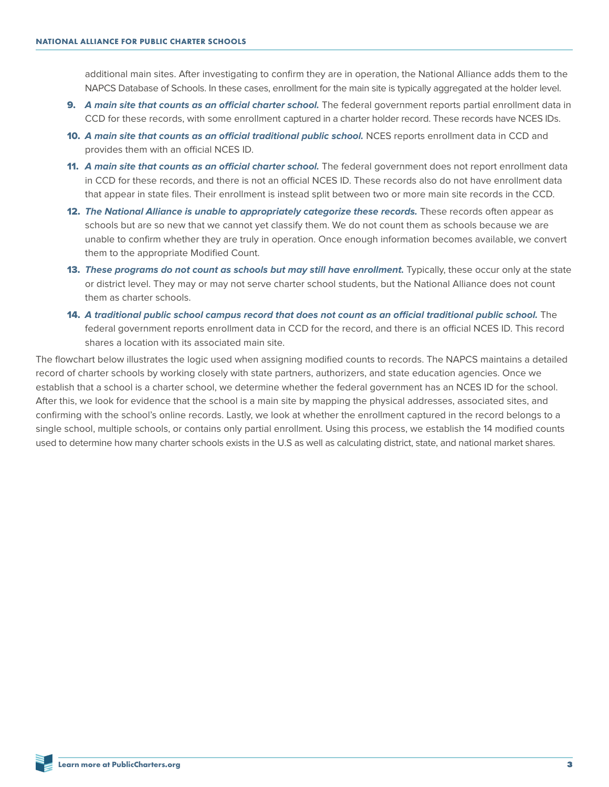additional main sites. After investigating to confirm they are in operation, the National Alliance adds them to the NAPCS Database of Schools. In these cases, enrollment for the main site is typically aggregated at the holder level.

- 9. **A main site that counts as an official charter school.** The federal government reports partial enrollment data in CCD for these records, with some enrollment captured in a charter holder record. These records have NCES IDs.
- 10. **A main site that counts as an official traditional public school.** NCES reports enrollment data in CCD and provides them with an official NCES ID.
- 11. **A main site that counts as an official charter school.** The federal government does not report enrollment data in CCD for these records, and there is not an official NCES ID. These records also do not have enrollment data that appear in state files. Their enrollment is instead split between two or more main site records in the CCD.
- 12. **The National Alliance is unable to appropriately categorize these records.** These records often appear as schools but are so new that we cannot yet classify them. We do not count them as schools because we are unable to confirm whether they are truly in operation. Once enough information becomes available, we convert them to the appropriate Modified Count.
- 13. **These programs do not count as schools but may still have enrollment.** Typically, these occur only at the state or district level. They may or may not serve charter school students, but the National Alliance does not count them as charter schools.
- 14. **A traditional public school campus record that does not count as an official traditional public school.** The federal government reports enrollment data in CCD for the record, and there is an official NCES ID. This record shares a location with its associated main site.

The flowchart below illustrates the logic used when assigning modified counts to records. The NAPCS maintains a detailed record of charter schools by working closely with state partners, authorizers, and state education agencies. Once we establish that a school is a charter school, we determine whether the federal government has an NCES ID for the school. After this, we look for evidence that the school is a main site by mapping the physical addresses, associated sites, and confirming with the school's online records. Lastly, we look at whether the enrollment captured in the record belongs to a single school, multiple schools, or contains only partial enrollment. Using this process, we establish the 14 modified counts used to determine how many charter schools exists in the U.S as well as calculating district, state, and national market shares.

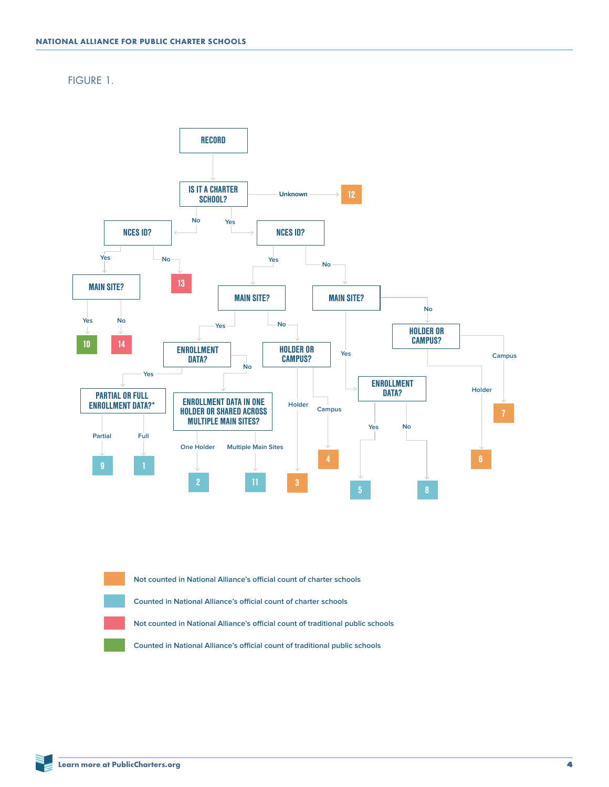FIGURE 1.



| Not counted in National Alliance's official count of charter schools            |
|---------------------------------------------------------------------------------|
| Counted in National Alliance's official count of charter schools                |
| Not counted in National Alliance's official count of traditional public schools |
| Counted in National Alliance's official count of traditional public schools     |